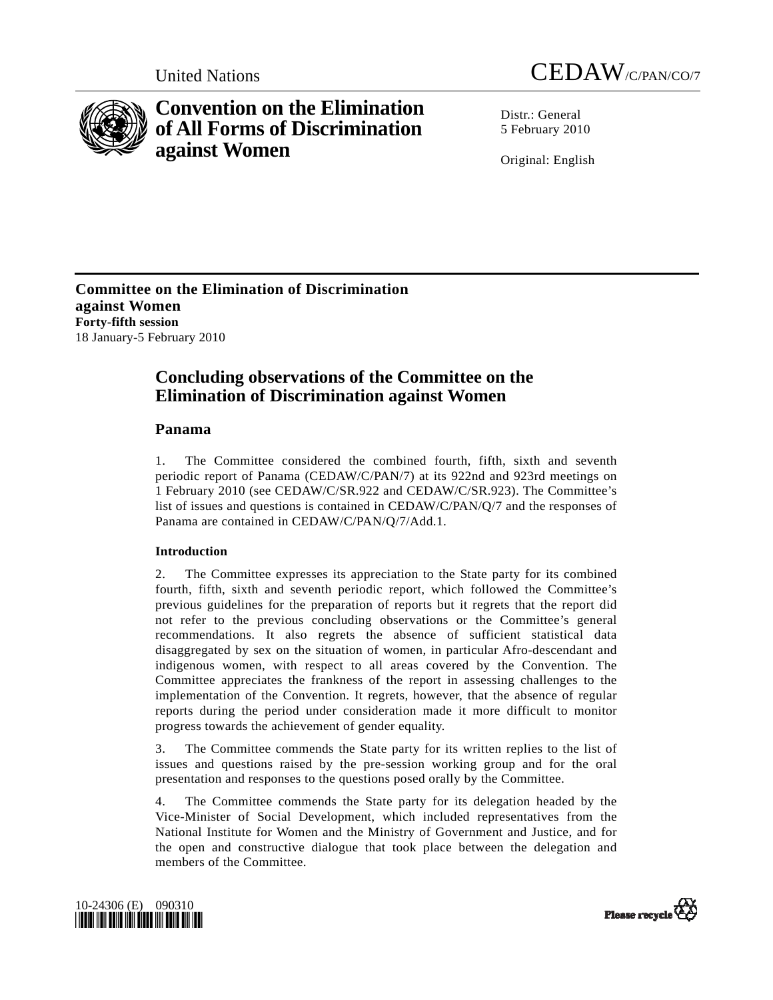



# **Convention on the Elimination of All Forms of Discrimination against Women**

 $Distr: General$ 5 February 2010

Original: English

**Committee on the Elimination of Discrimination against Women Forty-fifth session**  18 January-5 February 2010

## **Concluding observations of the Committee on the Elimination of Discrimination against Women**

## **Panama**

1. The Committee considered the combined fourth, fifth, sixth and seventh periodic report of Panama (CEDAW/C/PAN/7) at its 922nd and 923rd meetings on 1 February 2010 (see CEDAW/C/SR.922 and CEDAW/C/SR.923). The Committee's list of issues and questions is contained in CEDAW/C/PAN/Q/7 and the responses of Panama are contained in CEDAW/C/PAN/Q/7/Add.1.

## **Introduction**

2. The Committee expresses its appreciation to the State party for its combined fourth, fifth, sixth and seventh periodic report, which followed the Committee's previous guidelines for the preparation of reports but it regrets that the report did not refer to the previous concluding observations or the Committee's general recommendations. It also regrets the absence of sufficient statistical data disaggregated by sex on the situation of women, in particular Afro-descendant and indigenous women, with respect to all areas covered by the Convention. The Committee appreciates the frankness of the report in assessing challenges to the implementation of the Convention. It regrets, however, that the absence of regular reports during the period under consideration made it more difficult to monitor progress towards the achievement of gender equality.

3. The Committee commends the State party for its written replies to the list of issues and questions raised by the pre-session working group and for the oral presentation and responses to the questions posed orally by the Committee.

4. The Committee commends the State party for its delegation headed by the Vice-Minister of Social Development, which included representatives from the National Institute for Women and the Ministry of Government and Justice, and for the open and constructive dialogue that took place between the delegation and members of the Committee.



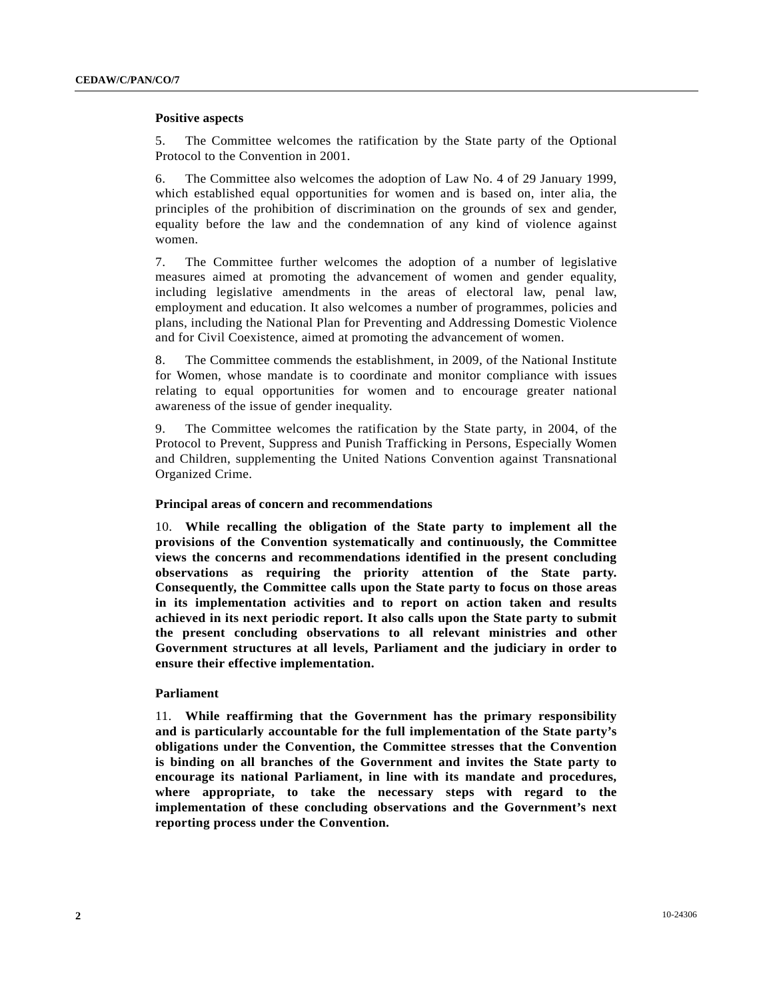#### **Positive aspects**

5. The Committee welcomes the ratification by the State party of the Optional Protocol to the Convention in 2001.

6. The Committee also welcomes the adoption of Law No. 4 of 29 January 1999, which established equal opportunities for women and is based on, inter alia, the principles of the prohibition of discrimination on the grounds of sex and gender, equality before the law and the condemnation of any kind of violence against women.

7. The Committee further welcomes the adoption of a number of legislative measures aimed at promoting the advancement of women and gender equality, including legislative amendments in the areas of electoral law, penal law, employment and education. It also welcomes a number of programmes, policies and plans, including the National Plan for Preventing and Addressing Domestic Violence and for Civil Coexistence, aimed at promoting the advancement of women.

8. The Committee commends the establishment, in 2009, of the National Institute for Women, whose mandate is to coordinate and monitor compliance with issues relating to equal opportunities for women and to encourage greater national awareness of the issue of gender inequality.

9. The Committee welcomes the ratification by the State party, in 2004, of the Protocol to Prevent, Suppress and Punish Trafficking in Persons, Especially Women and Children, supplementing the United Nations Convention against Transnational Organized Crime.

#### **Principal areas of concern and recommendations**

10. **While recalling the obligation of the State party to implement all the provisions of the Convention systematically and continuously, the Committee views the concerns and recommendations identified in the present concluding observations as requiring the priority attention of the State party. Consequently, the Committee calls upon the State party to focus on those areas in its implementation activities and to report on action taken and results achieved in its next periodic report. It also calls upon the State party to submit the present concluding observations to all relevant ministries and other Government structures at all levels, Parliament and the judiciary in order to ensure their effective implementation.**

#### **Parliament**

11. **While reaffirming that the Government has the primary responsibility and is particularly accountable for the full implementation of the State party's obligations under the Convention, the Committee stresses that the Convention is binding on all branches of the Government and invites the State party to encourage its national Parliament, in line with its mandate and procedures, where appropriate, to take the necessary steps with regard to the implementation of these concluding observations and the Government's next reporting process under the Convention.**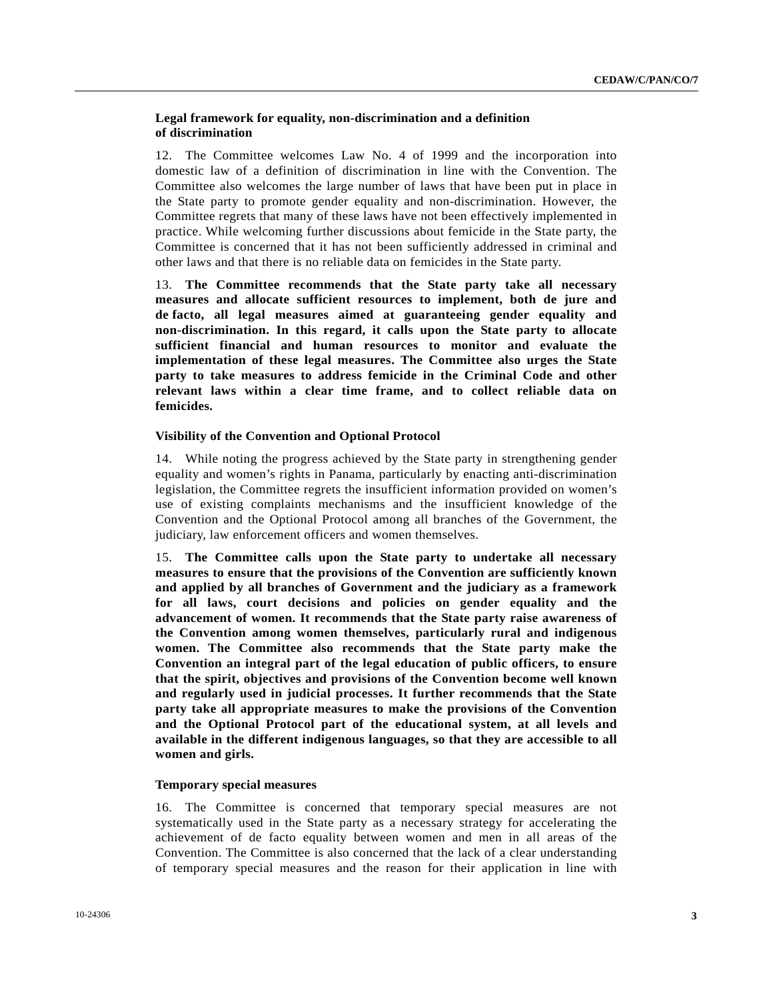## **Legal framework for equality, non-discrimination and a definition of discrimination**

12. The Committee welcomes Law No. 4 of 1999 and the incorporation into domestic law of a definition of discrimination in line with the Convention. The Committee also welcomes the large number of laws that have been put in place in the State party to promote gender equality and non-discrimination. However, the Committee regrets that many of these laws have not been effectively implemented in practice. While welcoming further discussions about femicide in the State party, the Committee is concerned that it has not been sufficiently addressed in criminal and other laws and that there is no reliable data on femicides in the State party.

13. **The Committee recommends that the State party take all necessary measures and allocate sufficient resources to implement, both de jure and de facto, all legal measures aimed at guaranteeing gender equality and non-discrimination. In this regard, it calls upon the State party to allocate sufficient financial and human resources to monitor and evaluate the implementation of these legal measures. The Committee also urges the State party to take measures to address femicide in the Criminal Code and other relevant laws within a clear time frame, and to collect reliable data on femicides.**

#### **Visibility of the Convention and Optional Protocol**

14. While noting the progress achieved by the State party in strengthening gender equality and women's rights in Panama, particularly by enacting anti-discrimination legislation, the Committee regrets the insufficient information provided on women's use of existing complaints mechanisms and the insufficient knowledge of the Convention and the Optional Protocol among all branches of the Government, the judiciary, law enforcement officers and women themselves.

15. **The Committee calls upon the State party to undertake all necessary measures to ensure that the provisions of the Convention are sufficiently known and applied by all branches of Government and the judiciary as a framework for all laws, court decisions and policies on gender equality and the advancement of women. It recommends that the State party raise awareness of the Convention among women themselves, particularly rural and indigenous women. The Committee also recommends that the State party make the Convention an integral part of the legal education of public officers, to ensure that the spirit, objectives and provisions of the Convention become well known and regularly used in judicial processes. It further recommends that the State party take all appropriate measures to make the provisions of the Convention and the Optional Protocol part of the educational system, at all levels and available in the different indigenous languages, so that they are accessible to all women and girls.**

#### **Temporary special measures**

16. The Committee is concerned that temporary special measures are not systematically used in the State party as a necessary strategy for accelerating the achievement of de facto equality between women and men in all areas of the Convention. The Committee is also concerned that the lack of a clear understanding of temporary special measures and the reason for their application in line with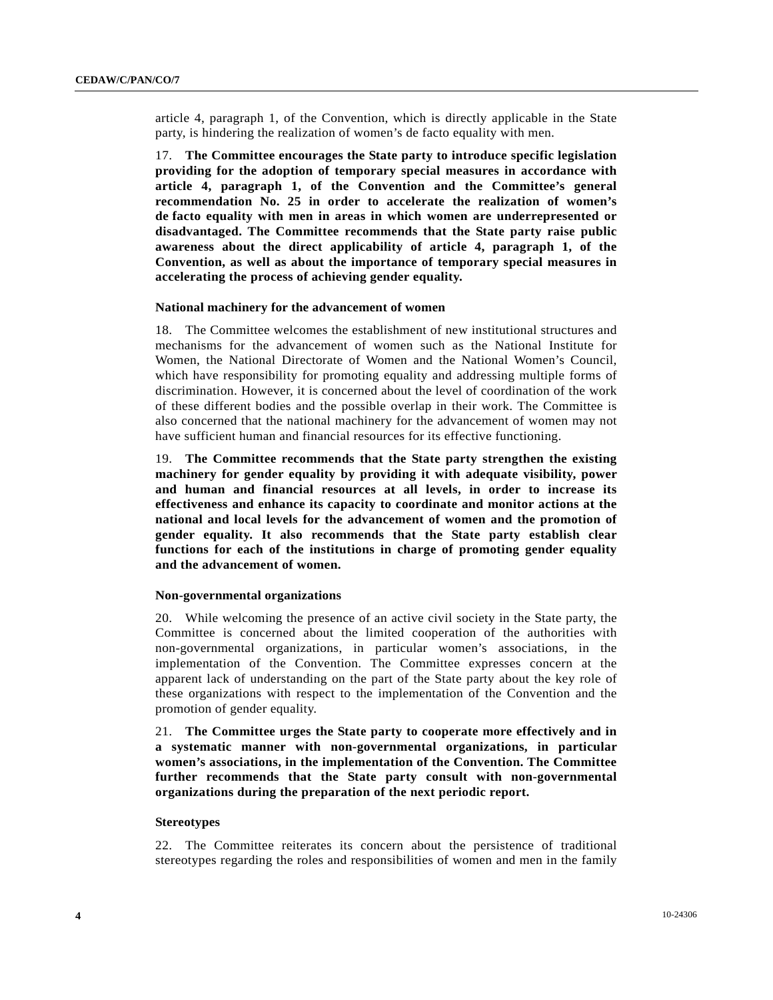article 4, paragraph 1, of the Convention, which is directly applicable in the State party, is hindering the realization of women's de facto equality with men.

17. **The Committee encourages the State party to introduce specific legislation providing for the adoption of temporary special measures in accordance with article 4, paragraph 1, of the Convention and the Committee's general recommendation No. 25 in order to accelerate the realization of women's de facto equality with men in areas in which women are underrepresented or disadvantaged. The Committee recommends that the State party raise public awareness about the direct applicability of article 4, paragraph 1, of the Convention, as well as about the importance of temporary special measures in accelerating the process of achieving gender equality.**

#### **National machinery for the advancement of women**

18. The Committee welcomes the establishment of new institutional structures and mechanisms for the advancement of women such as the National Institute for Women, the National Directorate of Women and the National Women's Council, which have responsibility for promoting equality and addressing multiple forms of discrimination. However, it is concerned about the level of coordination of the work of these different bodies and the possible overlap in their work. The Committee is also concerned that the national machinery for the advancement of women may not have sufficient human and financial resources for its effective functioning.

19. **The Committee recommends that the State party strengthen the existing machinery for gender equality by providing it with adequate visibility, power and human and financial resources at all levels, in order to increase its effectiveness and enhance its capacity to coordinate and monitor actions at the national and local levels for the advancement of women and the promotion of gender equality. It also recommends that the State party establish clear functions for each of the institutions in charge of promoting gender equality and the advancement of women.**

#### **Non-governmental organizations**

20. While welcoming the presence of an active civil society in the State party, the Committee is concerned about the limited cooperation of the authorities with non-governmental organizations, in particular women's associations, in the implementation of the Convention. The Committee expresses concern at the apparent lack of understanding on the part of the State party about the key role of these organizations with respect to the implementation of the Convention and the promotion of gender equality.

21. **The Committee urges the State party to cooperate more effectively and in a systematic manner with non-governmental organizations, in particular women's associations, in the implementation of the Convention. The Committee further recommends that the State party consult with non-governmental organizations during the preparation of the next periodic report.**

#### **Stereotypes**

22. The Committee reiterates its concern about the persistence of traditional stereotypes regarding the roles and responsibilities of women and men in the family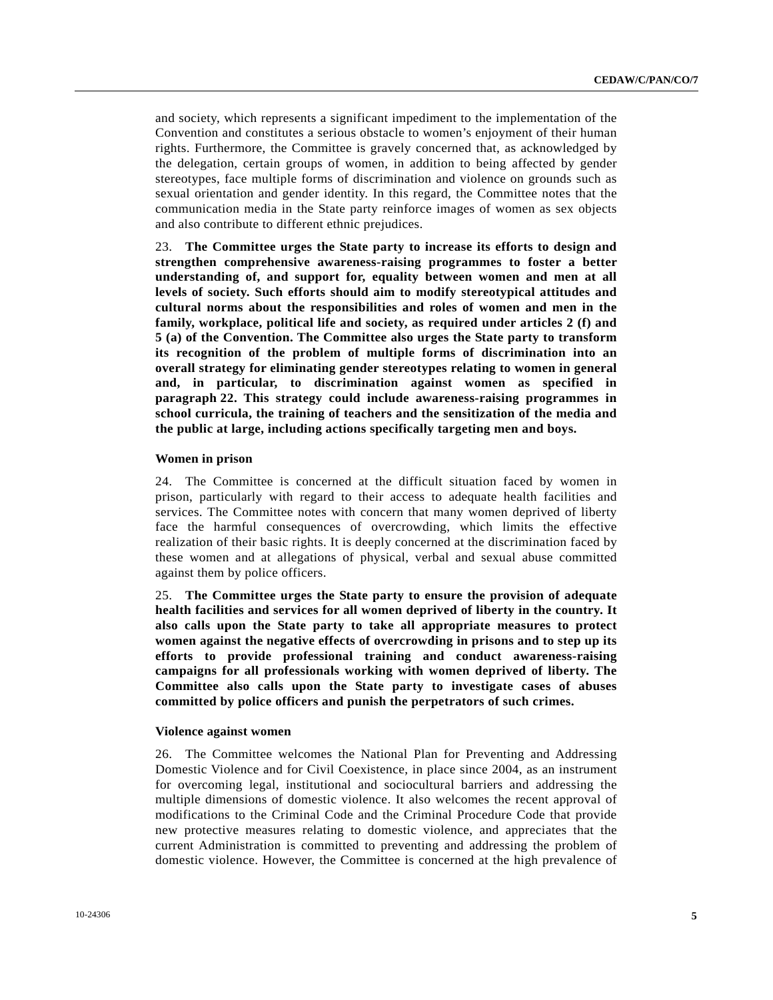and society, which represents a significant impediment to the implementation of the Convention and constitutes a serious obstacle to women's enjoyment of their human rights. Furthermore, the Committee is gravely concerned that, as acknowledged by the delegation, certain groups of women, in addition to being affected by gender stereotypes, face multiple forms of discrimination and violence on grounds such as sexual orientation and gender identity. In this regard, the Committee notes that the communication media in the State party reinforce images of women as sex objects and also contribute to different ethnic prejudices.

23. **The Committee urges the State party to increase its efforts to design and strengthen comprehensive awareness-raising programmes to foster a better understanding of, and support for, equality between women and men at all levels of society. Such efforts should aim to modify stereotypical attitudes and cultural norms about the responsibilities and roles of women and men in the family, workplace, political life and society, as required under articles 2 (f) and 5 (a) of the Convention. The Committee also urges the State party to transform its recognition of the problem of multiple forms of discrimination into an overall strategy for eliminating gender stereotypes relating to women in general and, in particular, to discrimination against women as specified in paragraph 22. This strategy could include awareness-raising programmes in school curricula, the training of teachers and the sensitization of the media and the public at large, including actions specifically targeting men and boys.**

#### **Women in prison**

24. The Committee is concerned at the difficult situation faced by women in prison, particularly with regard to their access to adequate health facilities and services. The Committee notes with concern that many women deprived of liberty face the harmful consequences of overcrowding, which limits the effective realization of their basic rights. It is deeply concerned at the discrimination faced by these women and at allegations of physical, verbal and sexual abuse committed against them by police officers.

25. **The Committee urges the State party to ensure the provision of adequate health facilities and services for all women deprived of liberty in the country. It also calls upon the State party to take all appropriate measures to protect women against the negative effects of overcrowding in prisons and to step up its efforts to provide professional training and conduct awareness-raising campaigns for all professionals working with women deprived of liberty. The Committee also calls upon the State party to investigate cases of abuses committed by police officers and punish the perpetrators of such crimes.**

#### **Violence against women**

26. The Committee welcomes the National Plan for Preventing and Addressing Domestic Violence and for Civil Coexistence, in place since 2004, as an instrument for overcoming legal, institutional and sociocultural barriers and addressing the multiple dimensions of domestic violence. It also welcomes the recent approval of modifications to the Criminal Code and the Criminal Procedure Code that provide new protective measures relating to domestic violence, and appreciates that the current Administration is committed to preventing and addressing the problem of domestic violence. However, the Committee is concerned at the high prevalence of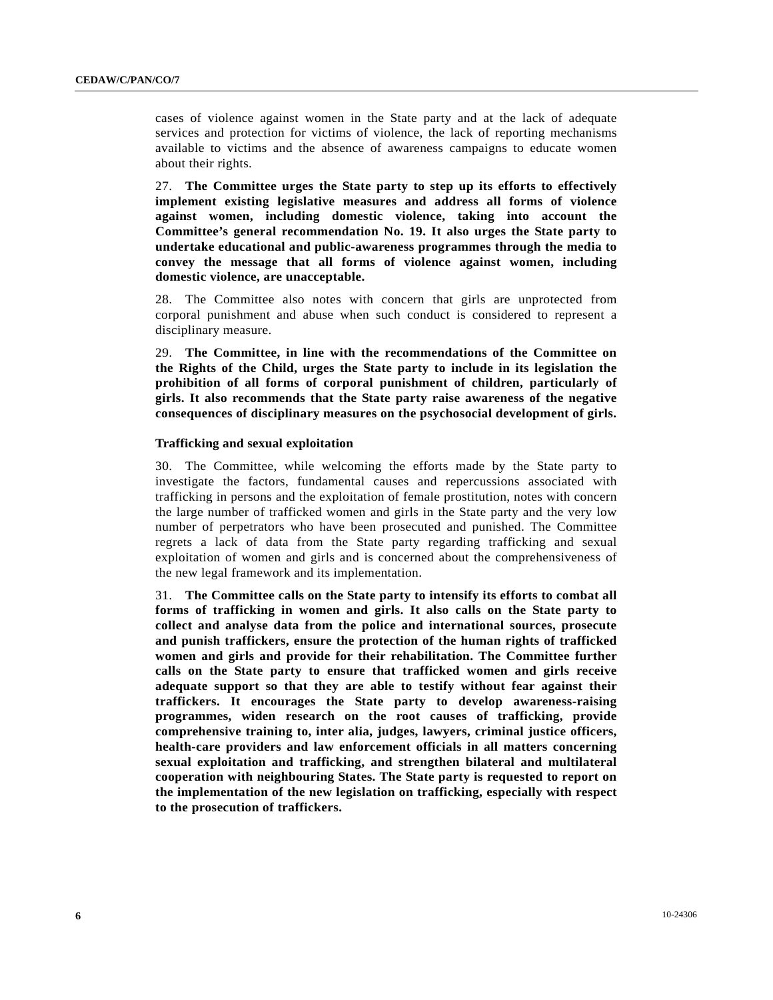cases of violence against women in the State party and at the lack of adequate services and protection for victims of violence, the lack of reporting mechanisms available to victims and the absence of awareness campaigns to educate women about their rights.

27. **The Committee urges the State party to step up its efforts to effectively implement existing legislative measures and address all forms of violence against women, including domestic violence, taking into account the Committee's general recommendation No. 19. It also urges the State party to undertake educational and public-awareness programmes through the media to convey the message that all forms of violence against women, including domestic violence, are unacceptable.**

28. The Committee also notes with concern that girls are unprotected from corporal punishment and abuse when such conduct is considered to represent a disciplinary measure.

29. **The Committee, in line with the recommendations of the Committee on the Rights of the Child, urges the State party to include in its legislation the prohibition of all forms of corporal punishment of children, particularly of girls. It also recommends that the State party raise awareness of the negative consequences of disciplinary measures on the psychosocial development of girls.**

## **Trafficking and sexual exploitation**

30. The Committee, while welcoming the efforts made by the State party to investigate the factors, fundamental causes and repercussions associated with trafficking in persons and the exploitation of female prostitution, notes with concern the large number of trafficked women and girls in the State party and the very low number of perpetrators who have been prosecuted and punished. The Committee regrets a lack of data from the State party regarding trafficking and sexual exploitation of women and girls and is concerned about the comprehensiveness of the new legal framework and its implementation.

31. **The Committee calls on the State party to intensify its efforts to combat all forms of trafficking in women and girls. It also calls on the State party to collect and analyse data from the police and international sources, prosecute and punish traffickers, ensure the protection of the human rights of trafficked women and girls and provide for their rehabilitation. The Committee further calls on the State party to ensure that trafficked women and girls receive adequate support so that they are able to testify without fear against their traffickers. It encourages the State party to develop awareness-raising programmes, widen research on the root causes of trafficking, provide comprehensive training to, inter alia, judges, lawyers, criminal justice officers, health-care providers and law enforcement officials in all matters concerning sexual exploitation and trafficking, and strengthen bilateral and multilateral cooperation with neighbouring States. The State party is requested to report on the implementation of the new legislation on trafficking, especially with respect to the prosecution of traffickers.**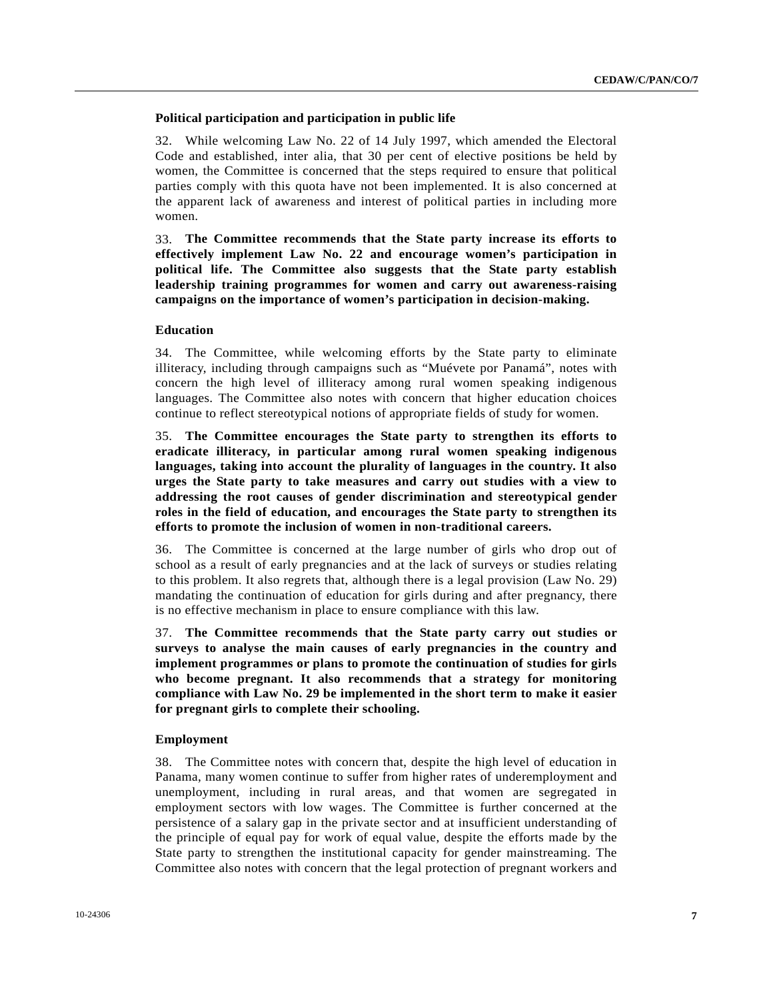## **Political participation and participation in public life**

32. While welcoming Law No. 22 of 14 July 1997, which amended the Electoral Code and established, inter alia, that 30 per cent of elective positions be held by women, the Committee is concerned that the steps required to ensure that political parties comply with this quota have not been implemented. It is also concerned at the apparent lack of awareness and interest of political parties in including more women.

33. **The Committee recommends that the State party increase its efforts to effectively implement Law No. 22 and encourage women's participation in political life. The Committee also suggests that the State party establish leadership training programmes for women and carry out awareness-raising campaigns on the importance of women's participation in decision-making.**

#### **Education**

34. The Committee, while welcoming efforts by the State party to eliminate illiteracy, including through campaigns such as "Muévete por Panamá", notes with concern the high level of illiteracy among rural women speaking indigenous languages. The Committee also notes with concern that higher education choices continue to reflect stereotypical notions of appropriate fields of study for women.

35. **The Committee encourages the State party to strengthen its efforts to eradicate illiteracy, in particular among rural women speaking indigenous languages, taking into account the plurality of languages in the country. It also urges the State party to take measures and carry out studies with a view to addressing the root causes of gender discrimination and stereotypical gender roles in the field of education, and encourages the State party to strengthen its efforts to promote the inclusion of women in non-traditional careers.**

36. The Committee is concerned at the large number of girls who drop out of school as a result of early pregnancies and at the lack of surveys or studies relating to this problem. It also regrets that, although there is a legal provision (Law No. 29) mandating the continuation of education for girls during and after pregnancy, there is no effective mechanism in place to ensure compliance with this law.

37. **The Committee recommends that the State party carry out studies or surveys to analyse the main causes of early pregnancies in the country and implement programmes or plans to promote the continuation of studies for girls who become pregnant. It also recommends that a strategy for monitoring compliance with Law No. 29 be implemented in the short term to make it easier for pregnant girls to complete their schooling.**

#### **Employment**

38. The Committee notes with concern that, despite the high level of education in Panama, many women continue to suffer from higher rates of underemployment and unemployment, including in rural areas, and that women are segregated in employment sectors with low wages. The Committee is further concerned at the persistence of a salary gap in the private sector and at insufficient understanding of the principle of equal pay for work of equal value, despite the efforts made by the State party to strengthen the institutional capacity for gender mainstreaming. The Committee also notes with concern that the legal protection of pregnant workers and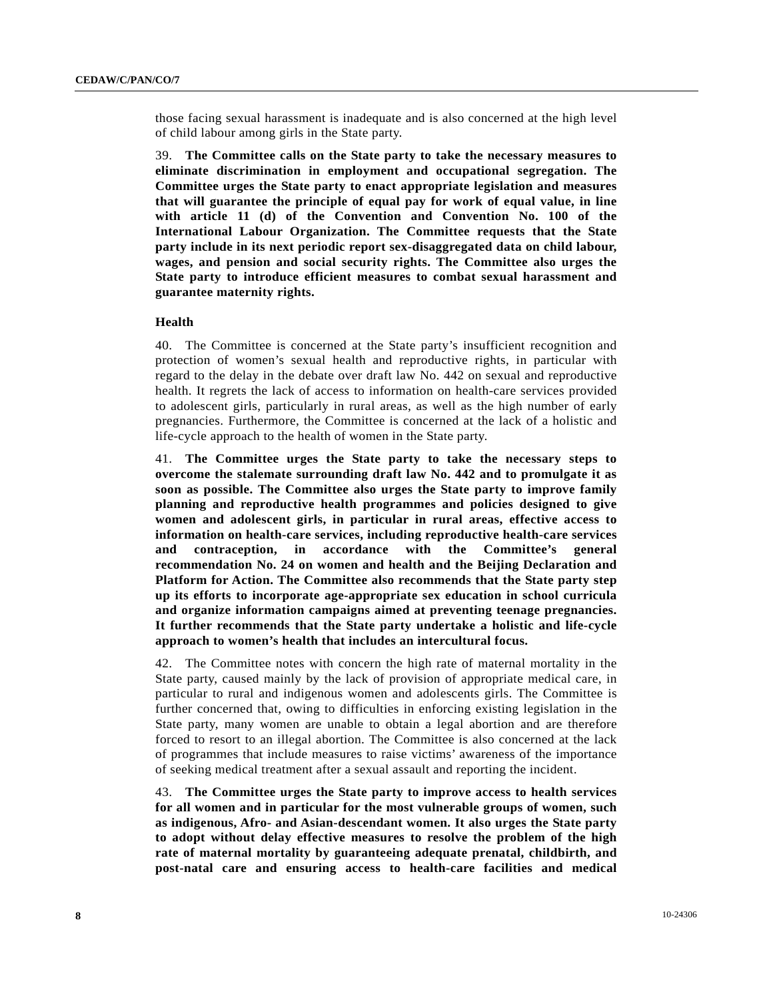those facing sexual harassment is inadequate and is also concerned at the high level of child labour among girls in the State party.

39. **The Committee calls on the State party to take the necessary measures to eliminate discrimination in employment and occupational segregation. The Committee urges the State party to enact appropriate legislation and measures that will guarantee the principle of equal pay for work of equal value, in line with article 11 (d) of the Convention and Convention No. 100 of the International Labour Organization. The Committee requests that the State party include in its next periodic report sex-disaggregated data on child labour, wages, and pension and social security rights. The Committee also urges the State party to introduce efficient measures to combat sexual harassment and guarantee maternity rights.** 

#### **Health**

40. The Committee is concerned at the State party's insufficient recognition and protection of women's sexual health and reproductive rights, in particular with regard to the delay in the debate over draft law No. 442 on sexual and reproductive health. It regrets the lack of access to information on health-care services provided to adolescent girls, particularly in rural areas, as well as the high number of early pregnancies. Furthermore, the Committee is concerned at the lack of a holistic and life-cycle approach to the health of women in the State party.

41. **The Committee urges the State party to take the necessary steps to overcome the stalemate surrounding draft law No. 442 and to promulgate it as soon as possible. The Committee also urges the State party to improve family planning and reproductive health programmes and policies designed to give women and adolescent girls, in particular in rural areas, effective access to information on health-care services, including reproductive health-care services and contraception, in accordance with the Committee's general recommendation No. 24 on women and health and the Beijing Declaration and Platform for Action. The Committee also recommends that the State party step up its efforts to incorporate age-appropriate sex education in school curricula and organize information campaigns aimed at preventing teenage pregnancies. It further recommends that the State party undertake a holistic and life-cycle approach to women's health that includes an intercultural focus.**

42. The Committee notes with concern the high rate of maternal mortality in the State party, caused mainly by the lack of provision of appropriate medical care, in particular to rural and indigenous women and adolescents girls. The Committee is further concerned that, owing to difficulties in enforcing existing legislation in the State party, many women are unable to obtain a legal abortion and are therefore forced to resort to an illegal abortion. The Committee is also concerned at the lack of programmes that include measures to raise victims' awareness of the importance of seeking medical treatment after a sexual assault and reporting the incident.

43. **The Committee urges the State party to improve access to health services for all women and in particular for the most vulnerable groups of women, such as indigenous, Afro- and Asian-descendant women. It also urges the State party to adopt without delay effective measures to resolve the problem of the high rate of maternal mortality by guaranteeing adequate prenatal, childbirth, and post-natal care and ensuring access to health-care facilities and medical**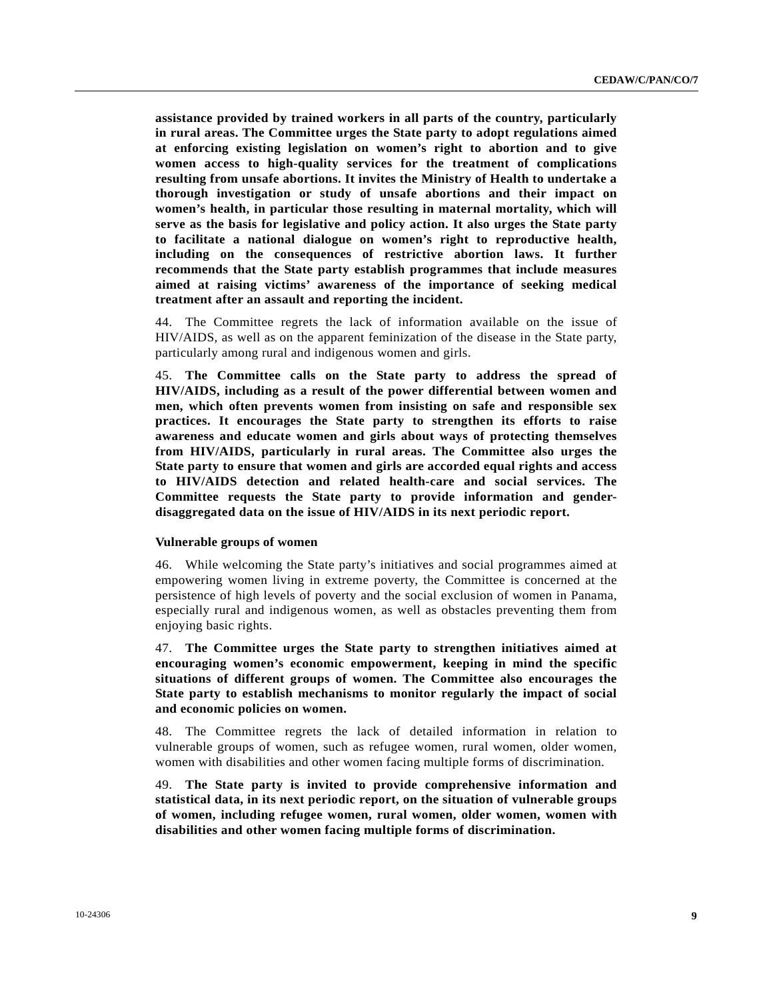**assistance provided by trained workers in all parts of the country, particularly in rural areas. The Committee urges the State party to adopt regulations aimed at enforcing existing legislation on women's right to abortion and to give women access to high-quality services for the treatment of complications resulting from unsafe abortions. It invites the Ministry of Health to undertake a thorough investigation or study of unsafe abortions and their impact on women's health, in particular those resulting in maternal mortality, which will serve as the basis for legislative and policy action. It also urges the State party to facilitate a national dialogue on women's right to reproductive health, including on the consequences of restrictive abortion laws. It further recommends that the State party establish programmes that include measures aimed at raising victims' awareness of the importance of seeking medical treatment after an assault and reporting the incident.** 

44. The Committee regrets the lack of information available on the issue of HIV/AIDS, as well as on the apparent feminization of the disease in the State party, particularly among rural and indigenous women and girls.

45. **The Committee calls on the State party to address the spread of HIV/AIDS, including as a result of the power differential between women and men, which often prevents women from insisting on safe and responsible sex practices. It encourages the State party to strengthen its efforts to raise awareness and educate women and girls about ways of protecting themselves from HIV/AIDS, particularly in rural areas. The Committee also urges the State party to ensure that women and girls are accorded equal rights and access to HIV/AIDS detection and related health-care and social services. The Committee requests the State party to provide information and genderdisaggregated data on the issue of HIV/AIDS in its next periodic report.**

#### **Vulnerable groups of women**

46. While welcoming the State party's initiatives and social programmes aimed at empowering women living in extreme poverty, the Committee is concerned at the persistence of high levels of poverty and the social exclusion of women in Panama, especially rural and indigenous women, as well as obstacles preventing them from enjoying basic rights.

47. **The Committee urges the State party to strengthen initiatives aimed at encouraging women's economic empowerment, keeping in mind the specific situations of different groups of women. The Committee also encourages the State party to establish mechanisms to monitor regularly the impact of social and economic policies on women.** 

48. The Committee regrets the lack of detailed information in relation to vulnerable groups of women, such as refugee women, rural women, older women, women with disabilities and other women facing multiple forms of discrimination.

49. **The State party is invited to provide comprehensive information and statistical data, in its next periodic report, on the situation of vulnerable groups of women, including refugee women, rural women, older women, women with disabilities and other women facing multiple forms of discrimination.**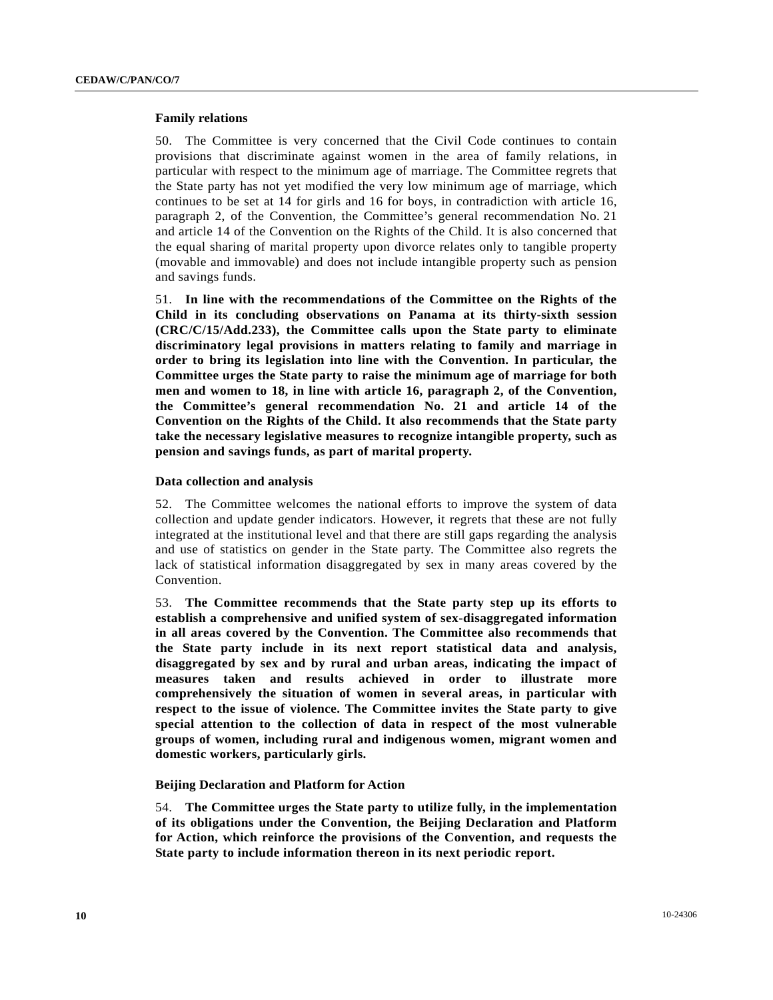#### **Family relations**

50. The Committee is very concerned that the Civil Code continues to contain provisions that discriminate against women in the area of family relations, in particular with respect to the minimum age of marriage. The Committee regrets that the State party has not yet modified the very low minimum age of marriage, which continues to be set at 14 for girls and 16 for boys, in contradiction with article 16, paragraph 2, of the Convention, the Committee's general recommendation No. 21 and article 14 of the Convention on the Rights of the Child. It is also concerned that the equal sharing of marital property upon divorce relates only to tangible property (movable and immovable) and does not include intangible property such as pension and savings funds.

51. **In line with the recommendations of the Committee on the Rights of the Child in its concluding observations on Panama at its thirty-sixth session (CRC/C/15/Add.233), the Committee calls upon the State party to eliminate discriminatory legal provisions in matters relating to family and marriage in order to bring its legislation into line with the Convention. In particular, the Committee urges the State party to raise the minimum age of marriage for both men and women to 18, in line with article 16, paragraph 2, of the Convention, the Committee's general recommendation No. 21 and article 14 of the Convention on the Rights of the Child. It also recommends that the State party take the necessary legislative measures to recognize intangible property, such as pension and savings funds, as part of marital property.**

#### **Data collection and analysis**

52. The Committee welcomes the national efforts to improve the system of data collection and update gender indicators. However, it regrets that these are not fully integrated at the institutional level and that there are still gaps regarding the analysis and use of statistics on gender in the State party. The Committee also regrets the lack of statistical information disaggregated by sex in many areas covered by the Convention.

53. **The Committee recommends that the State party step up its efforts to establish a comprehensive and unified system of sex-disaggregated information in all areas covered by the Convention. The Committee also recommends that the State party include in its next report statistical data and analysis, disaggregated by sex and by rural and urban areas, indicating the impact of measures taken and results achieved in order to illustrate more comprehensively the situation of women in several areas, in particular with respect to the issue of violence. The Committee invites the State party to give special attention to the collection of data in respect of the most vulnerable groups of women, including rural and indigenous women, migrant women and domestic workers, particularly girls.**

#### **Beijing Declaration and Platform for Action**

54. **The Committee urges the State party to utilize fully, in the implementation of its obligations under the Convention, the Beijing Declaration and Platform for Action, which reinforce the provisions of the Convention, and requests the State party to include information thereon in its next periodic report.**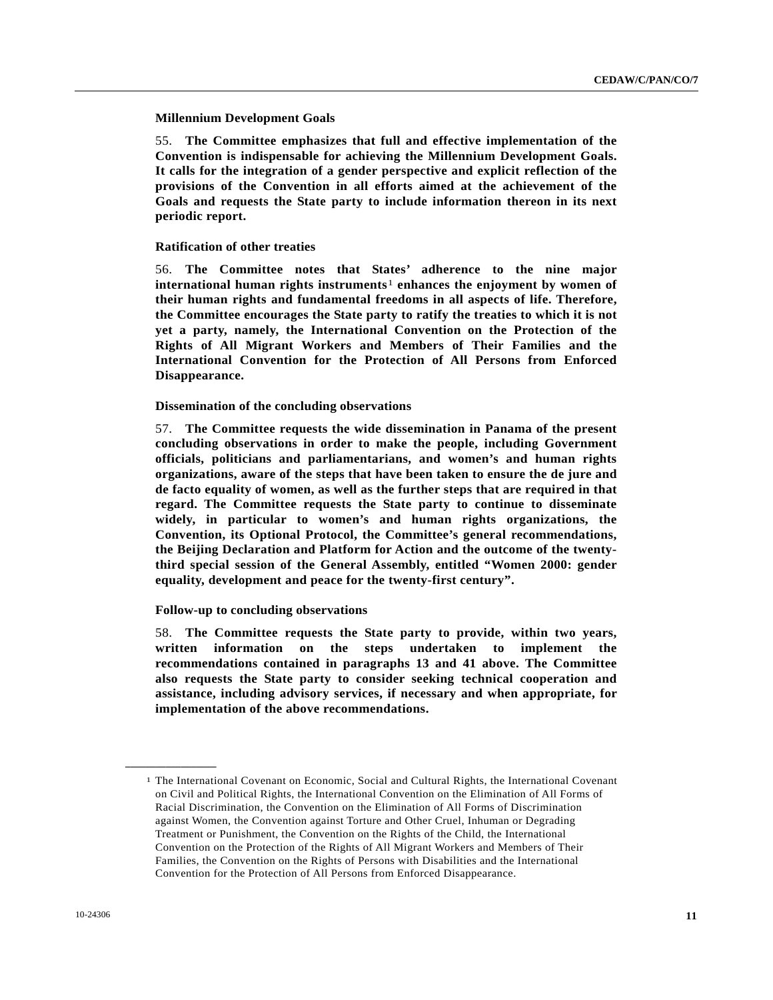**Millennium Development Goals** 

55. **The Committee emphasizes that full and effective implementation of the Convention is indispensable for achieving the Millennium Development Goals. It calls for the integration of a gender perspective and explicit reflection of the provisions of the Convention in all efforts aimed at the achievement of the Goals and requests the State party to include information thereon in its next periodic report.**

#### **Ratification of other treaties**

56. **The Committee notes that States' adherence to the nine major international human rights instruments**[1](#page-10-0) **enhances the enjoyment by women of their human rights and fundamental freedoms in all aspects of life. Therefore, the Committee encourages the State party to ratify the treaties to which it is not yet a party, namely, the International Convention on the Protection of the Rights of All Migrant Workers and Members of Their Families and the International Convention for the Protection of All Persons from Enforced Disappearance.**

#### **Dissemination of the concluding observations**

57. **The Committee requests the wide dissemination in Panama of the present concluding observations in order to make the people, including Government officials, politicians and parliamentarians, and women's and human rights organizations, aware of the steps that have been taken to ensure the de jure and de facto equality of women, as well as the further steps that are required in that regard. The Committee requests the State party to continue to disseminate widely, in particular to women's and human rights organizations, the Convention, its Optional Protocol, the Committee's general recommendations, the Beijing Declaration and Platform for Action and the outcome of the twentythird special session of the General Assembly, entitled "Women 2000: gender equality, development and peace for the twenty-first century".**

#### **Follow-up to concluding observations**

58. **The Committee requests the State party to provide, within two years, written information on the steps undertaken to implement the recommendations contained in paragraphs 13 and 41 above. The Committee also requests the State party to consider seeking technical cooperation and assistance, including advisory services, if necessary and when appropriate, for implementation of the above recommendations.**

<span id="page-10-0"></span>**\_\_\_\_\_\_\_\_\_\_\_\_\_\_\_\_\_\_** 

<sup>1</sup> The International Covenant on Economic, Social and Cultural Rights, the International Covenant on Civil and Political Rights, the International Convention on the Elimination of All Forms of Racial Discrimination, the Convention on the Elimination of All Forms of Discrimination against Women, the Convention against Torture and Other Cruel, Inhuman or Degrading Treatment or Punishment, the Convention on the Rights of the Child, the International Convention on the Protection of the Rights of All Migrant Workers and Members of Their Families, the Convention on the Rights of Persons with Disabilities and the International Convention for the Protection of All Persons from Enforced Disappearance.